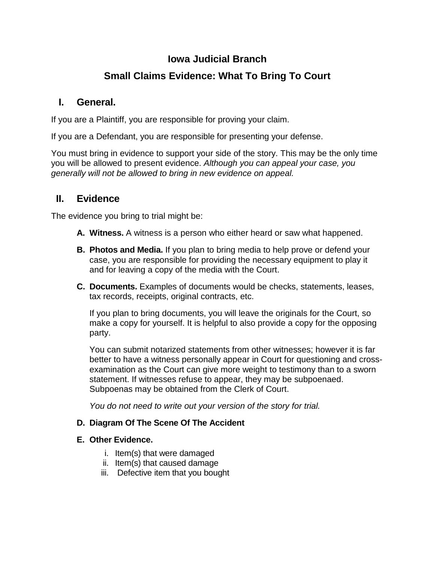# **Iowa Judicial Branch**

# **Small Claims Evidence: What To Bring To Court**

### **I. General.**

If you are a Plaintiff, you are responsible for proving your claim.

If you are a Defendant, you are responsible for presenting your defense.

You must bring in evidence to support your side of the story. This may be the only time you will be allowed to present evidence. *Although you can appeal your case, you generally will not be allowed to bring in new evidence on appeal.*

## **II. Evidence**

The evidence you bring to trial might be:

- **A. Witness.** A witness is a person who either heard or saw what happened.
- **B. Photos and Media.** If you plan to bring media to help prove or defend your case, you are responsible for providing the necessary equipment to play it and for leaving a copy of the media with the Court.
- **C. Documents.** Examples of documents would be checks, statements, leases, tax records, receipts, original contracts, etc.

If you plan to bring documents, you will leave the originals for the Court, so make a copy for yourself. It is helpful to also provide a copy for the opposing party.

You can submit notarized statements from other witnesses; however it is far better to have a witness personally appear in Court for questioning and crossexamination as the Court can give more weight to testimony than to a sworn statement. If witnesses refuse to appear, they may be subpoenaed. Subpoenas may be obtained from the Clerk of Court.

*You do not need to write out your version of the story for trial.* 

#### **D. Diagram Of The Scene Of The Accident**

#### **E. Other Evidence.**

- i. Item(s) that were damaged
- ii. Item(s) that caused damage
- iii. Defective item that you bought